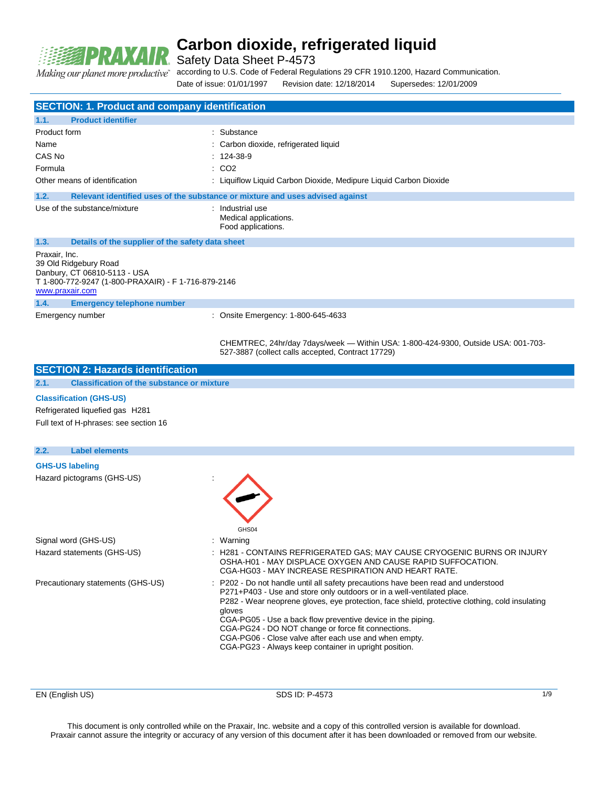

Safety Data Sheet P-4573

according to U.S. Code of Federal Regulations 29 CFR 1910.1200, Hazard Communication.

Date of issue: 01/01/1997 Revision date: 12/18/2014 Supersedes: 12/01/2009

|                                                                                                                                                  | Date of Issue: 01/01/1997<br>Revision date: 12/18/2014<br>Supersedes: 12/01/2009                                                                                                                                                                                                                                                                                                                                                                                                                               |
|--------------------------------------------------------------------------------------------------------------------------------------------------|----------------------------------------------------------------------------------------------------------------------------------------------------------------------------------------------------------------------------------------------------------------------------------------------------------------------------------------------------------------------------------------------------------------------------------------------------------------------------------------------------------------|
| <b>SECTION: 1. Product and company identification</b>                                                                                            |                                                                                                                                                                                                                                                                                                                                                                                                                                                                                                                |
| <b>Product identifier</b><br>1.1.                                                                                                                |                                                                                                                                                                                                                                                                                                                                                                                                                                                                                                                |
| Product form                                                                                                                                     | Substance                                                                                                                                                                                                                                                                                                                                                                                                                                                                                                      |
| Name                                                                                                                                             | Carbon dioxide, refrigerated liquid                                                                                                                                                                                                                                                                                                                                                                                                                                                                            |
| CAS No                                                                                                                                           | 124-38-9                                                                                                                                                                                                                                                                                                                                                                                                                                                                                                       |
| Formula                                                                                                                                          | CO <sub>2</sub>                                                                                                                                                                                                                                                                                                                                                                                                                                                                                                |
| Other means of identification                                                                                                                    | : Liquiflow Liquid Carbon Dioxide, Medipure Liquid Carbon Dioxide                                                                                                                                                                                                                                                                                                                                                                                                                                              |
| 1.2.                                                                                                                                             | Relevant identified uses of the substance or mixture and uses advised against                                                                                                                                                                                                                                                                                                                                                                                                                                  |
| Use of the substance/mixture                                                                                                                     | : Industrial use<br>Medical applications.<br>Food applications.                                                                                                                                                                                                                                                                                                                                                                                                                                                |
| 1.3.<br>Details of the supplier of the safety data sheet                                                                                         |                                                                                                                                                                                                                                                                                                                                                                                                                                                                                                                |
| Praxair, Inc.<br>39 Old Ridgebury Road<br>Danbury, CT 06810-5113 - USA<br>T 1-800-772-9247 (1-800-PRAXAIR) - F 1-716-879-2146<br>www.praxair.com |                                                                                                                                                                                                                                                                                                                                                                                                                                                                                                                |
| 1.4.<br><b>Emergency telephone number</b>                                                                                                        |                                                                                                                                                                                                                                                                                                                                                                                                                                                                                                                |
| Emergency number                                                                                                                                 | : Onsite Emergency: 1-800-645-4633                                                                                                                                                                                                                                                                                                                                                                                                                                                                             |
|                                                                                                                                                  | CHEMTREC, 24hr/day 7days/week - Within USA: 1-800-424-9300, Outside USA: 001-703-<br>527-3887 (collect calls accepted, Contract 17729)                                                                                                                                                                                                                                                                                                                                                                         |
| <b>SECTION 2: Hazards identification</b>                                                                                                         |                                                                                                                                                                                                                                                                                                                                                                                                                                                                                                                |
| 2.1.<br><b>Classification of the substance or mixture</b>                                                                                        |                                                                                                                                                                                                                                                                                                                                                                                                                                                                                                                |
| <b>Classification (GHS-US)</b><br>Refrigerated liquefied gas H281<br>Full text of H-phrases: see section 16                                      |                                                                                                                                                                                                                                                                                                                                                                                                                                                                                                                |
| 2.2.<br><b>Label elements</b>                                                                                                                    |                                                                                                                                                                                                                                                                                                                                                                                                                                                                                                                |
| <b>GHS-US labeling</b>                                                                                                                           |                                                                                                                                                                                                                                                                                                                                                                                                                                                                                                                |
| Hazard pictograms (GHS-US)                                                                                                                       | GH504                                                                                                                                                                                                                                                                                                                                                                                                                                                                                                          |
| Signal word (GHS-US)                                                                                                                             | : Warning                                                                                                                                                                                                                                                                                                                                                                                                                                                                                                      |
| Hazard statements (GHS-US)                                                                                                                       | : H281 - CONTAINS REFRIGERATED GAS; MAY CAUSE CRYOGENIC BURNS OR INJURY<br>OSHA-H01 - MAY DISPLACE OXYGEN AND CAUSE RAPID SUFFOCATION.<br>CGA-HG03 - MAY INCREASE RESPIRATION AND HEART RATE.                                                                                                                                                                                                                                                                                                                  |
| Precautionary statements (GHS-US)                                                                                                                | : P202 - Do not handle until all safety precautions have been read and understood<br>P271+P403 - Use and store only outdoors or in a well-ventilated place.<br>P282 - Wear neoprene gloves, eye protection, face shield, protective clothing, cold insulating<br>gloves<br>CGA-PG05 - Use a back flow preventive device in the piping.<br>CGA-PG24 - DO NOT change or force fit connections.<br>CGA-PG06 - Close valve after each use and when empty.<br>CGA-PG23 - Always keep container in upright position. |

EN (English US) SDS ID: P-4573 1/9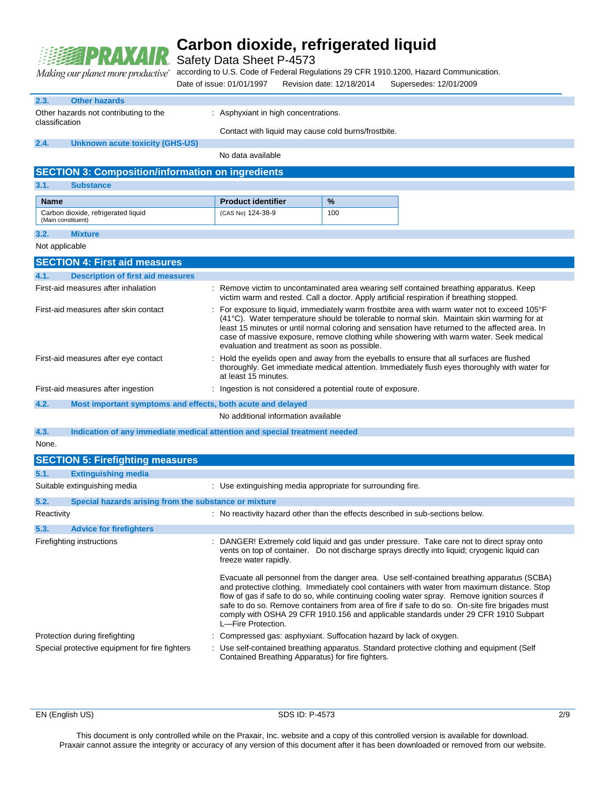

Safety Data Sheet P-4573

Making our planet more productive"

according to U.S. Code of Federal Regulations 29 CFR 1910.1200, Hazard Communication.<br>Date of issue: 01/01/1997 Revision date: 12/18/2014 Supersedes: 12/01/2009 Date of issue:  $01/01/1997$  Revision date: 12/18/2014

|                                                                                                                                                                                                                                                           |                                                                                                    | Dale of <i>ISSUE</i> . 01/01/1997                                   |  | Revision date: 12/10/2014                           | Ouperseaes: IZ/01/2009                                                                                                                                                                                                                                                                                                                                                                                                                                                                |
|-----------------------------------------------------------------------------------------------------------------------------------------------------------------------------------------------------------------------------------------------------------|----------------------------------------------------------------------------------------------------|---------------------------------------------------------------------|--|-----------------------------------------------------|---------------------------------------------------------------------------------------------------------------------------------------------------------------------------------------------------------------------------------------------------------------------------------------------------------------------------------------------------------------------------------------------------------------------------------------------------------------------------------------|
| 2.3.                                                                                                                                                                                                                                                      | <b>Other hazards</b>                                                                               |                                                                     |  |                                                     |                                                                                                                                                                                                                                                                                                                                                                                                                                                                                       |
| Other hazards not contributing to the<br>classification                                                                                                                                                                                                   |                                                                                                    | : Asphyxiant in high concentrations.                                |  |                                                     |                                                                                                                                                                                                                                                                                                                                                                                                                                                                                       |
|                                                                                                                                                                                                                                                           |                                                                                                    |                                                                     |  | Contact with liquid may cause cold burns/frostbite. |                                                                                                                                                                                                                                                                                                                                                                                                                                                                                       |
| 2.4.                                                                                                                                                                                                                                                      | <b>Unknown acute toxicity (GHS-US)</b>                                                             |                                                                     |  |                                                     |                                                                                                                                                                                                                                                                                                                                                                                                                                                                                       |
|                                                                                                                                                                                                                                                           |                                                                                                    | No data available                                                   |  |                                                     |                                                                                                                                                                                                                                                                                                                                                                                                                                                                                       |
|                                                                                                                                                                                                                                                           | <b>SECTION 3: Composition/information on ingredients</b>                                           |                                                                     |  |                                                     |                                                                                                                                                                                                                                                                                                                                                                                                                                                                                       |
| 3.1.                                                                                                                                                                                                                                                      | <b>Substance</b>                                                                                   |                                                                     |  |                                                     |                                                                                                                                                                                                                                                                                                                                                                                                                                                                                       |
| <b>Name</b>                                                                                                                                                                                                                                               |                                                                                                    | <b>Product identifier</b>                                           |  | %                                                   |                                                                                                                                                                                                                                                                                                                                                                                                                                                                                       |
| (Main constituent)                                                                                                                                                                                                                                        | Carbon dioxide, refrigerated liquid                                                                | (CAS No) 124-38-9                                                   |  | 100                                                 |                                                                                                                                                                                                                                                                                                                                                                                                                                                                                       |
| 3.2.                                                                                                                                                                                                                                                      | <b>Mixture</b>                                                                                     |                                                                     |  |                                                     |                                                                                                                                                                                                                                                                                                                                                                                                                                                                                       |
| Not applicable                                                                                                                                                                                                                                            |                                                                                                    |                                                                     |  |                                                     |                                                                                                                                                                                                                                                                                                                                                                                                                                                                                       |
|                                                                                                                                                                                                                                                           | <b>SECTION 4: First aid measures</b>                                                               |                                                                     |  |                                                     |                                                                                                                                                                                                                                                                                                                                                                                                                                                                                       |
| 4.1.                                                                                                                                                                                                                                                      | <b>Description of first aid measures</b>                                                           |                                                                     |  |                                                     |                                                                                                                                                                                                                                                                                                                                                                                                                                                                                       |
|                                                                                                                                                                                                                                                           | First-aid measures after inhalation                                                                |                                                                     |  |                                                     | : Remove victim to uncontaminated area wearing self contained breathing apparatus. Keep<br>victim warm and rested. Call a doctor. Apply artificial respiration if breathing stopped.                                                                                                                                                                                                                                                                                                  |
|                                                                                                                                                                                                                                                           | First-aid measures after skin contact                                                              | evaluation and treatment as soon as possible.                       |  |                                                     | : For exposure to liquid, immediately warm frostbite area with warm water not to exceed 105°F<br>(41°C). Water temperature should be tolerable to normal skin. Maintain skin warming for at<br>least 15 minutes or until normal coloring and sensation have returned to the affected area. In<br>case of massive exposure, remove clothing while showering with warm water. Seek medical                                                                                              |
| Hold the eyelids open and away from the eyeballs to ensure that all surfaces are flushed<br>First-aid measures after eye contact<br>thoroughly. Get immediate medical attention. Immediately flush eyes thoroughly with water for<br>at least 15 minutes. |                                                                                                    |                                                                     |  |                                                     |                                                                                                                                                                                                                                                                                                                                                                                                                                                                                       |
|                                                                                                                                                                                                                                                           | First-aid measures after ingestion<br>: Ingestion is not considered a potential route of exposure. |                                                                     |  |                                                     |                                                                                                                                                                                                                                                                                                                                                                                                                                                                                       |
| 4.2.                                                                                                                                                                                                                                                      | Most important symptoms and effects, both acute and delayed                                        |                                                                     |  |                                                     |                                                                                                                                                                                                                                                                                                                                                                                                                                                                                       |
|                                                                                                                                                                                                                                                           |                                                                                                    | No additional information available                                 |  |                                                     |                                                                                                                                                                                                                                                                                                                                                                                                                                                                                       |
| 4.3.                                                                                                                                                                                                                                                      | Indication of any immediate medical attention and special treatment needed                         |                                                                     |  |                                                     |                                                                                                                                                                                                                                                                                                                                                                                                                                                                                       |
| None.                                                                                                                                                                                                                                                     |                                                                                                    |                                                                     |  |                                                     |                                                                                                                                                                                                                                                                                                                                                                                                                                                                                       |
|                                                                                                                                                                                                                                                           | <b>SECTION 5: Firefighting measures</b>                                                            |                                                                     |  |                                                     |                                                                                                                                                                                                                                                                                                                                                                                                                                                                                       |
| 5.1.                                                                                                                                                                                                                                                      | <b>Extinguishing media</b>                                                                         |                                                                     |  |                                                     |                                                                                                                                                                                                                                                                                                                                                                                                                                                                                       |
|                                                                                                                                                                                                                                                           | Suitable extinguishing media                                                                       | : Use extinguishing media appropriate for surrounding fire.         |  |                                                     |                                                                                                                                                                                                                                                                                                                                                                                                                                                                                       |
| 5.2.                                                                                                                                                                                                                                                      | Special hazards arising from the substance or mixture                                              |                                                                     |  |                                                     |                                                                                                                                                                                                                                                                                                                                                                                                                                                                                       |
| Reactivity                                                                                                                                                                                                                                                |                                                                                                    |                                                                     |  |                                                     | : No reactivity hazard other than the effects described in sub-sections below.                                                                                                                                                                                                                                                                                                                                                                                                        |
| 5.3.                                                                                                                                                                                                                                                      | <b>Advice for firefighters</b>                                                                     |                                                                     |  |                                                     |                                                                                                                                                                                                                                                                                                                                                                                                                                                                                       |
|                                                                                                                                                                                                                                                           | Firefighting instructions                                                                          | freeze water rapidly.                                               |  |                                                     | : DANGER! Extremely cold liquid and gas under pressure. Take care not to direct spray onto<br>vents on top of container.  Do not discharge sprays directly into liquid; cryogenic liquid can                                                                                                                                                                                                                                                                                          |
|                                                                                                                                                                                                                                                           |                                                                                                    | L-Fire Protection.                                                  |  |                                                     | Evacuate all personnel from the danger area. Use self-contained breathing apparatus (SCBA)<br>and protective clothing. Immediately cool containers with water from maximum distance. Stop<br>flow of gas if safe to do so, while continuing cooling water spray. Remove ignition sources if<br>safe to do so. Remove containers from area of fire if safe to do so. On-site fire brigades must<br>comply with OSHA 29 CFR 1910.156 and applicable standards under 29 CFR 1910 Subpart |
|                                                                                                                                                                                                                                                           | Protection during firefighting                                                                     | : Compressed gas: asphyxiant. Suffocation hazard by lack of oxygen. |  |                                                     |                                                                                                                                                                                                                                                                                                                                                                                                                                                                                       |
|                                                                                                                                                                                                                                                           | Special protective equipment for fire fighters                                                     | Contained Breathing Apparatus) for fire fighters.                   |  |                                                     | : Use self-contained breathing apparatus. Standard protective clothing and equipment (Self                                                                                                                                                                                                                                                                                                                                                                                            |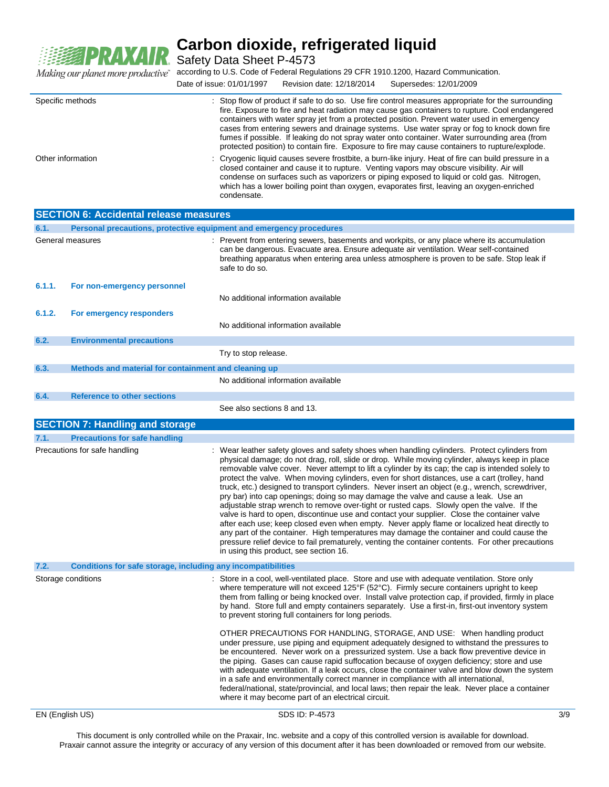

**Carbon dioxide, refrigerated liquid** Safety Data Sheet P-4573

according to U.S. Code of Federal Regulations 29 CFR 1910.1200, Hazard Communication.

|                  | Date of issue: 01/01/1997 | Revision date: 12/18/2014   Supersedes: 12/01/2009 |                                                                                                    |  |
|------------------|---------------------------|----------------------------------------------------|----------------------------------------------------------------------------------------------------|--|
| Specific methods |                           |                                                    | : Stop flow of product if safe to do so. Use fire control measures appropriate for the surrounding |  |

|                                               | fire. Exposure to fire and heat radiation may cause gas containers to rupture. Cool endangered<br>containers with water spray jet from a protected position. Prevent water used in emergency<br>cases from entering sewers and drainage systems. Use water spray or fog to knock down fire<br>fumes if possible. If leaking do not spray water onto container. Water surrounding area (from<br>protected position) to contain fire. Exposure to fire may cause containers to rupture/explode. |
|-----------------------------------------------|-----------------------------------------------------------------------------------------------------------------------------------------------------------------------------------------------------------------------------------------------------------------------------------------------------------------------------------------------------------------------------------------------------------------------------------------------------------------------------------------------|
| Other information                             | : Cryogenic liquid causes severe frostbite, a burn-like injury. Heat of fire can build pressure in a<br>closed container and cause it to rupture. Venting vapors may obscure visibility. Air will<br>condense on surfaces such as vaporizers or piping exposed to liquid or cold gas. Nitrogen,<br>which has a lower boiling point than oxygen, evaporates first, leaving an oxygen-enriched<br>condensate.                                                                                   |
| <b>SECTION 6: Accidental release measures</b> |                                                                                                                                                                                                                                                                                                                                                                                                                                                                                               |

| 6.1.   | Personal precautions, protective equipment and emergency procedures |                                                                                                                                                                                                                                                                                                                                                                                                                                                                                                                                                                                                                                                                                                                                                                                                                                                                                                                                                                                                                                                                                                                                          |     |
|--------|---------------------------------------------------------------------|------------------------------------------------------------------------------------------------------------------------------------------------------------------------------------------------------------------------------------------------------------------------------------------------------------------------------------------------------------------------------------------------------------------------------------------------------------------------------------------------------------------------------------------------------------------------------------------------------------------------------------------------------------------------------------------------------------------------------------------------------------------------------------------------------------------------------------------------------------------------------------------------------------------------------------------------------------------------------------------------------------------------------------------------------------------------------------------------------------------------------------------|-----|
|        | General measures                                                    | Prevent from entering sewers, basements and workpits, or any place where its accumulation<br>can be dangerous. Evacuate area. Ensure adequate air ventilation. Wear self-contained<br>breathing apparatus when entering area unless atmosphere is proven to be safe. Stop leak if<br>safe to do so.                                                                                                                                                                                                                                                                                                                                                                                                                                                                                                                                                                                                                                                                                                                                                                                                                                      |     |
| 6.1.1. | For non-emergency personnel                                         | No additional information available                                                                                                                                                                                                                                                                                                                                                                                                                                                                                                                                                                                                                                                                                                                                                                                                                                                                                                                                                                                                                                                                                                      |     |
| 6.1.2. | For emergency responders                                            |                                                                                                                                                                                                                                                                                                                                                                                                                                                                                                                                                                                                                                                                                                                                                                                                                                                                                                                                                                                                                                                                                                                                          |     |
|        |                                                                     | No additional information available                                                                                                                                                                                                                                                                                                                                                                                                                                                                                                                                                                                                                                                                                                                                                                                                                                                                                                                                                                                                                                                                                                      |     |
| 6.2.   | <b>Environmental precautions</b>                                    |                                                                                                                                                                                                                                                                                                                                                                                                                                                                                                                                                                                                                                                                                                                                                                                                                                                                                                                                                                                                                                                                                                                                          |     |
|        |                                                                     | Try to stop release.                                                                                                                                                                                                                                                                                                                                                                                                                                                                                                                                                                                                                                                                                                                                                                                                                                                                                                                                                                                                                                                                                                                     |     |
| 6.3.   | Methods and material for containment and cleaning up                |                                                                                                                                                                                                                                                                                                                                                                                                                                                                                                                                                                                                                                                                                                                                                                                                                                                                                                                                                                                                                                                                                                                                          |     |
|        |                                                                     | No additional information available                                                                                                                                                                                                                                                                                                                                                                                                                                                                                                                                                                                                                                                                                                                                                                                                                                                                                                                                                                                                                                                                                                      |     |
| 6.4.   | <b>Reference to other sections</b>                                  |                                                                                                                                                                                                                                                                                                                                                                                                                                                                                                                                                                                                                                                                                                                                                                                                                                                                                                                                                                                                                                                                                                                                          |     |
|        |                                                                     | See also sections 8 and 13.                                                                                                                                                                                                                                                                                                                                                                                                                                                                                                                                                                                                                                                                                                                                                                                                                                                                                                                                                                                                                                                                                                              |     |
|        | <b>SECTION 7: Handling and storage</b>                              |                                                                                                                                                                                                                                                                                                                                                                                                                                                                                                                                                                                                                                                                                                                                                                                                                                                                                                                                                                                                                                                                                                                                          |     |
| 7.1.   | <b>Precautions for safe handling</b>                                |                                                                                                                                                                                                                                                                                                                                                                                                                                                                                                                                                                                                                                                                                                                                                                                                                                                                                                                                                                                                                                                                                                                                          |     |
|        | Precautions for safe handling                                       | : Wear leather safety gloves and safety shoes when handling cylinders. Protect cylinders from<br>physical damage; do not drag, roll, slide or drop. While moving cylinder, always keep in place<br>removable valve cover. Never attempt to lift a cylinder by its cap; the cap is intended solely to<br>protect the valve. When moving cylinders, even for short distances, use a cart (trolley, hand<br>truck, etc.) designed to transport cylinders. Never insert an object (e.g., wrench, screwdriver,<br>pry bar) into cap openings; doing so may damage the valve and cause a leak. Use an<br>adjustable strap wrench to remove over-tight or rusted caps. Slowly open the valve. If the<br>valve is hard to open, discontinue use and contact your supplier. Close the container valve<br>after each use; keep closed even when empty. Never apply flame or localized heat directly to<br>any part of the container. High temperatures may damage the container and could cause the<br>pressure relief device to fail prematurely, venting the container contents. For other precautions<br>in using this product, see section 16. |     |
| 7.2.   | Conditions for safe storage, including any incompatibilities        |                                                                                                                                                                                                                                                                                                                                                                                                                                                                                                                                                                                                                                                                                                                                                                                                                                                                                                                                                                                                                                                                                                                                          |     |
|        | Storage conditions                                                  | Store in a cool, well-ventilated place. Store and use with adequate ventilation. Store only<br>where temperature will not exceed 125°F (52°C). Firmly secure containers upright to keep<br>them from falling or being knocked over. Install valve protection cap, if provided, firmly in place<br>by hand. Store full and empty containers separately. Use a first-in, first-out inventory system<br>to prevent storing full containers for long periods.                                                                                                                                                                                                                                                                                                                                                                                                                                                                                                                                                                                                                                                                                |     |
|        |                                                                     | OTHER PRECAUTIONS FOR HANDLING, STORAGE, AND USE: When handling product<br>under pressure, use piping and equipment adequately designed to withstand the pressures to<br>be encountered. Never work on a pressurized system. Use a back flow preventive device in<br>the piping. Gases can cause rapid suffocation because of oxygen deficiency; store and use<br>with adequate ventilation. If a leak occurs, close the container valve and blow down the system<br>in a safe and environmentally correct manner in compliance with all international,<br>federal/national, state/provincial, and local laws; then repair the leak. Never place a container<br>where it may become part of an electrical circuit.                                                                                                                                                                                                                                                                                                                                                                                                                       |     |
|        | EN (English US)                                                     | SDS ID: P-4573                                                                                                                                                                                                                                                                                                                                                                                                                                                                                                                                                                                                                                                                                                                                                                                                                                                                                                                                                                                                                                                                                                                           | 3/9 |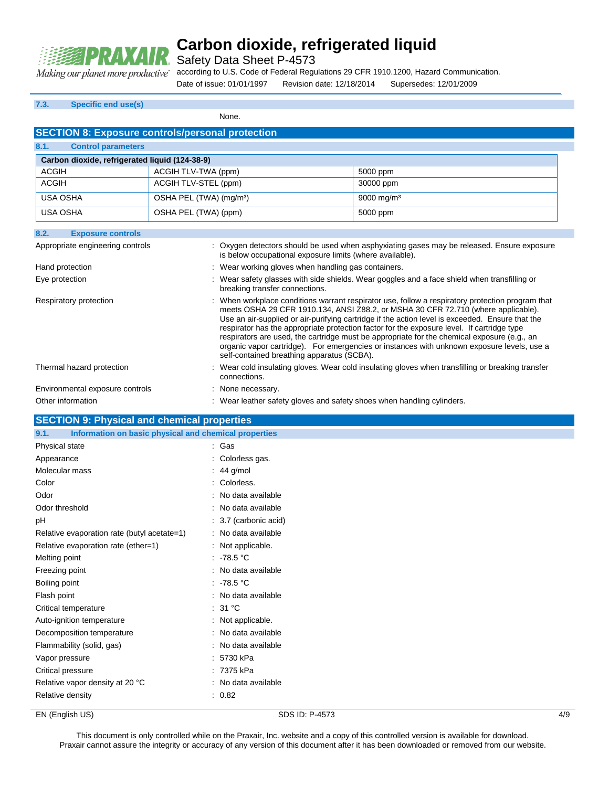

Safety Data Sheet P-4573

Making our planet more productive" according to U.S. Code of Federal Regulations 29 CFR 1910.1200, Hazard Communication.

Date of issue: 01/01/1997 Revision date: 12/18/2014 Supersedes: 12/01/2009

#### **7.3. Specific end use(s)**

None.

|                                                | <b>SECTION 8: Exposure controls/personal protection</b> |                                                                                                                                                                                                                                                                                                                                                                                                                                                                                                                                                                                     |
|------------------------------------------------|---------------------------------------------------------|-------------------------------------------------------------------------------------------------------------------------------------------------------------------------------------------------------------------------------------------------------------------------------------------------------------------------------------------------------------------------------------------------------------------------------------------------------------------------------------------------------------------------------------------------------------------------------------|
| <b>Control parameters</b><br>8.1.              |                                                         |                                                                                                                                                                                                                                                                                                                                                                                                                                                                                                                                                                                     |
| Carbon dioxide, refrigerated liquid (124-38-9) |                                                         |                                                                                                                                                                                                                                                                                                                                                                                                                                                                                                                                                                                     |
| <b>ACGIH</b>                                   | ACGIH TLV-TWA (ppm)                                     | 5000 ppm                                                                                                                                                                                                                                                                                                                                                                                                                                                                                                                                                                            |
| <b>ACGIH</b>                                   | ACGIH TLV-STEL (ppm)                                    | 30000 ppm                                                                                                                                                                                                                                                                                                                                                                                                                                                                                                                                                                           |
| <b>USA OSHA</b>                                | OSHA PEL (TWA) (mg/m <sup>3</sup> )                     | 9000 mg/m <sup>3</sup>                                                                                                                                                                                                                                                                                                                                                                                                                                                                                                                                                              |
| <b>USA OSHA</b>                                | OSHA PEL (TWA) (ppm)                                    | 5000 ppm                                                                                                                                                                                                                                                                                                                                                                                                                                                                                                                                                                            |
| 8.2.<br><b>Exposure controls</b>               |                                                         |                                                                                                                                                                                                                                                                                                                                                                                                                                                                                                                                                                                     |
| Appropriate engineering controls               |                                                         | : Oxygen detectors should be used when asphyxiating gases may be released. Ensure exposure<br>is below occupational exposure limits (where available).                                                                                                                                                                                                                                                                                                                                                                                                                              |
| Hand protection                                | : Wear working gloves when handling gas containers.     |                                                                                                                                                                                                                                                                                                                                                                                                                                                                                                                                                                                     |
| Eye protection                                 | breaking transfer connections.                          | : Wear safety glasses with side shields. Wear goggles and a face shield when transfilling or                                                                                                                                                                                                                                                                                                                                                                                                                                                                                        |
| Respiratory protection                         | self-contained breathing apparatus (SCBA).              | : When workplace conditions warrant respirator use, follow a respiratory protection program that<br>meets OSHA 29 CFR 1910.134, ANSI Z88.2, or MSHA 30 CFR 72.710 (where applicable).<br>Use an air-supplied or air-purifying cartridge if the action level is exceeded. Ensure that the<br>respirator has the appropriate protection factor for the exposure level. If cartridge type<br>respirators are used, the cartridge must be appropriate for the chemical exposure (e.g., an<br>organic vapor cartridge). For emergencies or instances with unknown exposure levels, use a |
| Thermal hazard protection                      | connections.                                            | : Wear cold insulating gloves. Wear cold insulating gloves when transfilling or breaking transfer                                                                                                                                                                                                                                                                                                                                                                                                                                                                                   |
| Environmental exposure controls                | : None necessary.                                       |                                                                                                                                                                                                                                                                                                                                                                                                                                                                                                                                                                                     |
| Other information                              |                                                         | : Wear leather safety gloves and safety shoes when handling cylinders.                                                                                                                                                                                                                                                                                                                                                                                                                                                                                                              |
|                                                | <b>SECTION 9: Physical and chemical properties</b>      |                                                                                                                                                                                                                                                                                                                                                                                                                                                                                                                                                                                     |
| 9.1.                                           | Information on basic physical and chemical properties   |                                                                                                                                                                                                                                                                                                                                                                                                                                                                                                                                                                                     |
| Physical state                                 | : Gas                                                   |                                                                                                                                                                                                                                                                                                                                                                                                                                                                                                                                                                                     |
| Appearance                                     | : Colorless gas.                                        |                                                                                                                                                                                                                                                                                                                                                                                                                                                                                                                                                                                     |
| Molecular mass                                 | $: 44$ g/mol                                            |                                                                                                                                                                                                                                                                                                                                                                                                                                                                                                                                                                                     |
| Color                                          | : Colorless.                                            |                                                                                                                                                                                                                                                                                                                                                                                                                                                                                                                                                                                     |
| Odor                                           | : No data available                                     |                                                                                                                                                                                                                                                                                                                                                                                                                                                                                                                                                                                     |
| Odor threshold                                 | : No data available                                     |                                                                                                                                                                                                                                                                                                                                                                                                                                                                                                                                                                                     |
| pH                                             | : 3.7 (carbonic acid)                                   |                                                                                                                                                                                                                                                                                                                                                                                                                                                                                                                                                                                     |

| Relative evaporation rate (butyl acetate=1) | : No data available |
|---------------------------------------------|---------------------|
| Relative evaporation rate (ether=1)         | : Not applicable.   |
| Melting point                               | : 78.5 $^{\circ}$ C |
| Freezing point                              | : No data available |
| Boiling point                               | : $-78.5 °C$        |
| Flash point                                 | : No data available |
| Critical temperature                        | : 31 $^{\circ}$ C   |
| Auto-ignition temperature                   | : Not applicable.   |
| Decomposition temperature                   | : No data available |
| Flammability (solid, gas)                   | : No data available |
| Vapor pressure                              | : 5730 kPa          |
| Critical pressure                           | : 7375 kPa          |
|                                             |                     |

Relative vapor density at 20 °C : No data available Relative density in the set of the set of the set of the set of the set of the set of the set of the set of the set of the set of the set of the set of the set of the set of the set of the set of the set of the set of the

#### EN (English US) and the SDS ID: P-4573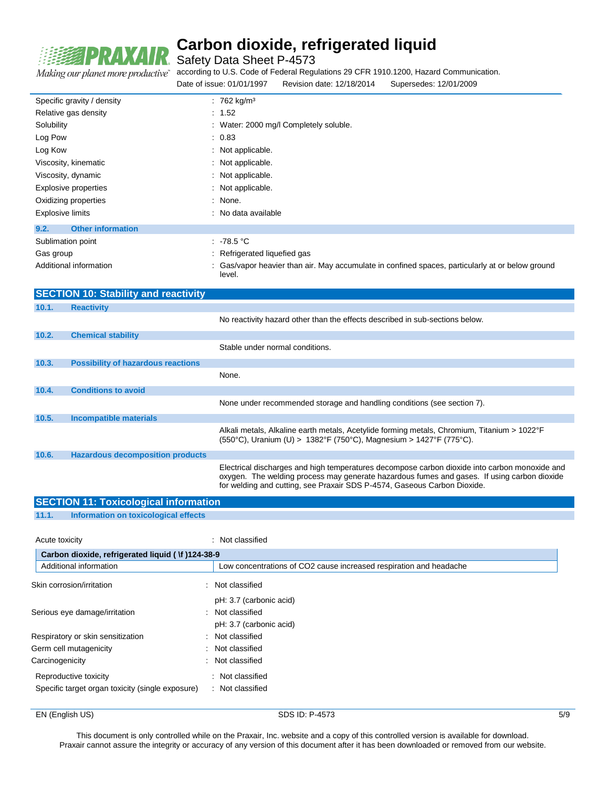

Safety Data Sheet P-4573

Making our planet more productive"

according to U.S. Code of Federal Regulations 29 CFR 1910.1200, Hazard Communication.

Date of issue: 01/01/1997 Revision date: 12/18/2014 Supersedes: 12/01/2009

| Specific gravity / density       | : 762 kg/m <sup>3</sup>                                                                                    |
|----------------------------------|------------------------------------------------------------------------------------------------------------|
| Relative gas density             | : 1.52                                                                                                     |
| Solubility                       | : Water: 2000 mg/l Completely soluble.                                                                     |
| Log Pow                          | : 0.83                                                                                                     |
| Log Kow                          | $\therefore$ Not applicable.                                                                               |
| Viscosity, kinematic             | : Not applicable.                                                                                          |
| Viscosity, dynamic               | : Not applicable.                                                                                          |
| <b>Explosive properties</b>      | : Not applicable.                                                                                          |
| Oxidizing properties             | : None.                                                                                                    |
| <b>Explosive limits</b>          | : No data available                                                                                        |
| <b>Other information</b><br>9.2. |                                                                                                            |
| Sublimation point                | $.78.5\degree$ C                                                                                           |
| Gas group                        | : Refrigerated liquefied gas                                                                               |
| Additional information           | : Gas/vapor heavier than air. May accumulate in confined spaces, particularly at or below ground<br>level. |

|       | <b>SECTION 10: Stability and reactivity</b> |                                                                                                                                                                                                                                                                          |
|-------|---------------------------------------------|--------------------------------------------------------------------------------------------------------------------------------------------------------------------------------------------------------------------------------------------------------------------------|
| 10.1. | <b>Reactivity</b>                           |                                                                                                                                                                                                                                                                          |
|       |                                             | No reactivity hazard other than the effects described in sub-sections below.                                                                                                                                                                                             |
| 10.2. | <b>Chemical stability</b>                   |                                                                                                                                                                                                                                                                          |
|       |                                             | Stable under normal conditions.                                                                                                                                                                                                                                          |
| 10.3. | <b>Possibility of hazardous reactions</b>   |                                                                                                                                                                                                                                                                          |
|       |                                             | None.                                                                                                                                                                                                                                                                    |
| 10.4. | <b>Conditions to avoid</b>                  |                                                                                                                                                                                                                                                                          |
|       |                                             | None under recommended storage and handling conditions (see section 7).                                                                                                                                                                                                  |
| 10.5. | Incompatible materials                      |                                                                                                                                                                                                                                                                          |
|       |                                             | Alkali metals, Alkaline earth metals, Acetylide forming metals, Chromium, Titanium > 1022°F<br>$(550^{\circ}$ C), Uranium (U) > 1382°F (750°C), Magnesium > 1427°F (775°C).                                                                                              |
| 10.6. | <b>Hazardous decomposition products</b>     |                                                                                                                                                                                                                                                                          |
|       |                                             | Electrical discharges and high temperatures decompose carbon dioxide into carbon monoxide and<br>oxygen. The welding process may generate hazardous fumes and gases. If using carbon dioxide<br>for welding and cutting, see Praxair SDS P-4574, Gaseous Carbon Dioxide. |

| <b>SECTION 11: Toxicological information</b>                              |                                                                      |  |  |
|---------------------------------------------------------------------------|----------------------------------------------------------------------|--|--|
| 11.1.<br>Information on toxicological effects                             |                                                                      |  |  |
|                                                                           |                                                                      |  |  |
| Acute toxicity                                                            | : Not classified                                                     |  |  |
| Carbon dioxide, refrigerated liquid ( \f )124-38-9                        |                                                                      |  |  |
| Additional information                                                    | Low concentrations of CO2 cause increased respiration and headache   |  |  |
| Skin corrosion/irritation                                                 | : Not classified                                                     |  |  |
| Serious eye damage/irritation                                             | pH: 3.7 (carbonic acid)<br>Not classified<br>pH: 3.7 (carbonic acid) |  |  |
| Respiratory or skin sensitization                                         | Not classified                                                       |  |  |
| Germ cell mutagenicity                                                    | : Not classified                                                     |  |  |
| Carcinogenicity                                                           | Not classified                                                       |  |  |
| Reproductive toxicity<br>Specific target organ toxicity (single exposure) | : Not classified<br>: Not classified                                 |  |  |

EN (English US) 5/9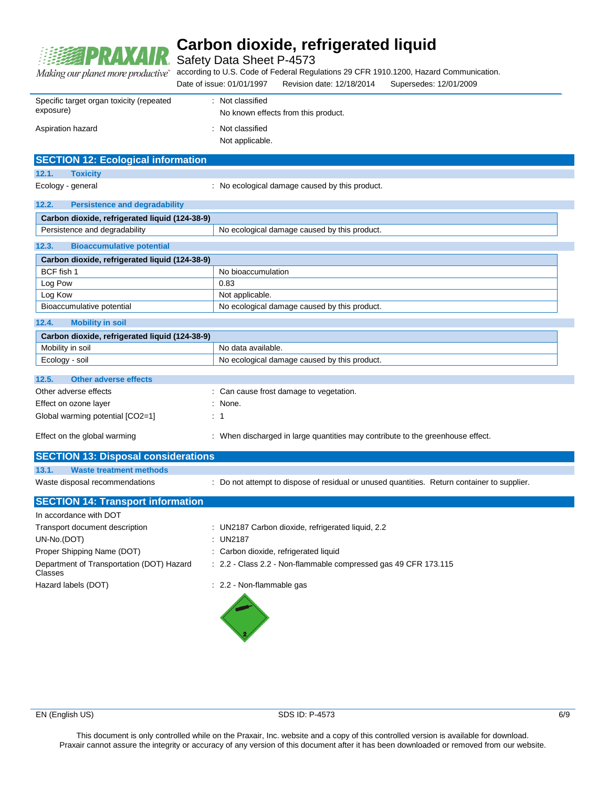

Safety Data Sheet P-4573

according to U.S. Code of Federal Regulations 29 CFR 1910.1200, Hazard Communication. Making our planet more productive"

|  |                                                                            | $\mathbf{u}$ and $\mathbf{v}$ and $\mathbf{v}$ and $\mathbf{v}$ and $\mathbf{v}$ and $\mathbf{v}$ and $\mathbf{v}$ and $\mathbf{v}$ and $\mathbf{v}$ and $\mathbf{v}$ |  |
|--|----------------------------------------------------------------------------|-----------------------------------------------------------------------------------------------------------------------------------------------------------------------|--|
|  | Date of issue: 01/01/1997 Revision date: 12/18/2014 Supersedes: 12/01/2009 |                                                                                                                                                                       |  |

| Specific target organ toxicity (repeated | : Not classified                    |
|------------------------------------------|-------------------------------------|
| exposure)                                | No known effects from this product. |
| Aspiration hazard                        | : Not classified<br>Not applicable. |

### **SECTION 12: Ecological information**

**12.1. Toxicity**

Ecology - general interval in the cological damage caused by this product.

| 12.2.                     | <b>Persistence and degradability</b>           |                                              |
|---------------------------|------------------------------------------------|----------------------------------------------|
|                           | Carbon dioxide, refrigerated liquid (124-38-9) |                                              |
|                           | Persistence and degradability                  | No ecological damage caused by this product. |
| 12.3.                     | <b>Bioaccumulative potential</b>               |                                              |
|                           | Carbon dioxide, refrigerated liquid (124-38-9) |                                              |
| BCF fish 1                |                                                | No bioaccumulation                           |
| Log Pow                   |                                                | 0.83                                         |
| Log Kow                   |                                                | Not applicable.                              |
| Bioaccumulative potential |                                                | No ecological damage caused by this product. |
| 12.4.                     | <b>Mobility in soil</b>                        |                                              |

| Carbon dioxide, refrigerated liquid (124-38-9)                 |                    |  |
|----------------------------------------------------------------|--------------------|--|
| Mobility in soil                                               | No data available. |  |
| No ecological damage caused by this product.<br>Ecology - soil |                    |  |

| <b>Other adverse effects</b><br>12.5. |                                                                                |
|---------------------------------------|--------------------------------------------------------------------------------|
| Other adverse effects                 | : Can cause frost damage to vegetation.                                        |
| Effect on ozone layer                 | : None.                                                                        |
| Global warming potential [CO2=1]      | $\therefore$ 1                                                                 |
| Effect on the global warming          | : When discharged in large quantities may contribute to the greenhouse effect. |

#### **SECTION 13: Disposal considerations**

| <u>IULUTIUN TU. DISPOSAI CONSIDEI ANONS</u> |                                |                                                                                             |  |  |
|---------------------------------------------|--------------------------------|---------------------------------------------------------------------------------------------|--|--|
| 13.1.                                       | Waste treatment methods        |                                                                                             |  |  |
|                                             | Waste disposal recommendations | : Do not attempt to dispose of residual or unused quantities. Return container to supplier. |  |  |

#### **SECTION 14: Transport information**

| In accordance with DOT                               |                                                                 |
|------------------------------------------------------|-----------------------------------------------------------------|
| Transport document description                       | : UN2187 Carbon dioxide, refrigerated liquid, 2.2               |
| UN-No.(DOT)                                          | : $UN2187$                                                      |
| Proper Shipping Name (DOT)                           | : Carbon dioxide, refrigerated liquid                           |
| Department of Transportation (DOT) Hazard<br>Classes | : 2.2 - Class 2.2 - Non-flammable compressed gas 49 CFR 173.115 |
| Hazard labels (DOT)                                  | : 2.2 - Non-flammable gas                                       |
|                                                      |                                                                 |

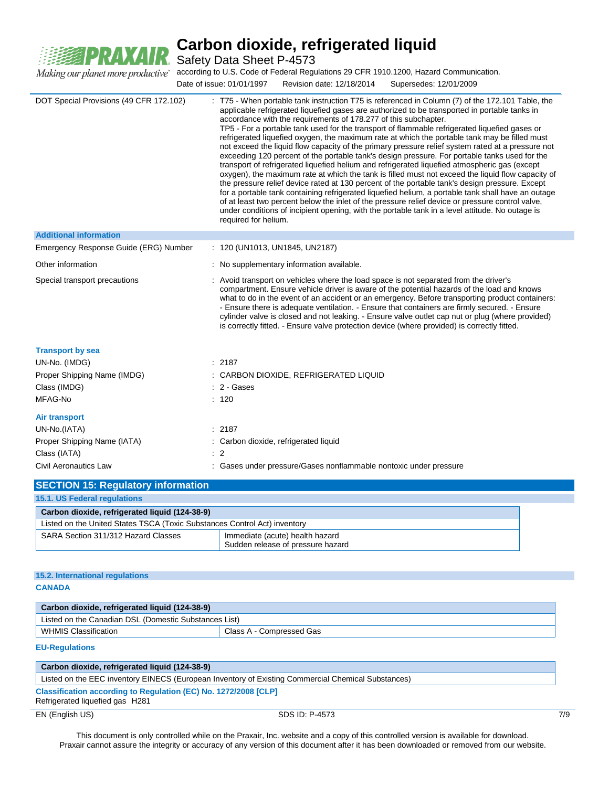

Safety Data Sheet P-4573

according to U.S. Code of Federal Regulations 29 CFR 1910.1200, Hazard Communication.

|                                                                                                                     | Date of issue: 01/01/1997<br>Revision date: 12/18/2014<br>Supersedes: 12/01/2009                                                                                                                                                                                                                                                                                                                                                                                                                                                                                                                                                                                                                                                                                                                                                                                                                                                                                                                                                                                                                                                                                                                                                                                                                                        |
|---------------------------------------------------------------------------------------------------------------------|-------------------------------------------------------------------------------------------------------------------------------------------------------------------------------------------------------------------------------------------------------------------------------------------------------------------------------------------------------------------------------------------------------------------------------------------------------------------------------------------------------------------------------------------------------------------------------------------------------------------------------------------------------------------------------------------------------------------------------------------------------------------------------------------------------------------------------------------------------------------------------------------------------------------------------------------------------------------------------------------------------------------------------------------------------------------------------------------------------------------------------------------------------------------------------------------------------------------------------------------------------------------------------------------------------------------------|
| DOT Special Provisions (49 CFR 172.102)                                                                             | T75 - When portable tank instruction T75 is referenced in Column (7) of the 172.101 Table, the<br>applicable refrigerated liquefied gases are authorized to be transported in portable tanks in<br>accordance with the requirements of 178.277 of this subchapter.<br>TP5 - For a portable tank used for the transport of flammable refrigerated liquefied gases or<br>refrigerated liquefied oxygen, the maximum rate at which the portable tank may be filled must<br>not exceed the liquid flow capacity of the primary pressure relief system rated at a pressure not<br>exceeding 120 percent of the portable tank's design pressure. For portable tanks used for the<br>transport of refrigerated liquefied helium and refrigerated liquefied atmospheric gas (except<br>oxygen), the maximum rate at which the tank is filled must not exceed the liquid flow capacity of<br>the pressure relief device rated at 130 percent of the portable tank's design pressure. Except<br>for a portable tank containing refrigerated liquefied helium, a portable tank shall have an outage<br>of at least two percent below the inlet of the pressure relief device or pressure control valve,<br>under conditions of incipient opening, with the portable tank in a level attitude. No outage is<br>required for helium. |
| <b>Additional information</b>                                                                                       |                                                                                                                                                                                                                                                                                                                                                                                                                                                                                                                                                                                                                                                                                                                                                                                                                                                                                                                                                                                                                                                                                                                                                                                                                                                                                                                         |
| Emergency Response Guide (ERG) Number                                                                               | : 120 (UN1013, UN1845, UN2187)                                                                                                                                                                                                                                                                                                                                                                                                                                                                                                                                                                                                                                                                                                                                                                                                                                                                                                                                                                                                                                                                                                                                                                                                                                                                                          |
| Other information                                                                                                   | : No supplementary information available.                                                                                                                                                                                                                                                                                                                                                                                                                                                                                                                                                                                                                                                                                                                                                                                                                                                                                                                                                                                                                                                                                                                                                                                                                                                                               |
| Special transport precautions                                                                                       | : Avoid transport on vehicles where the load space is not separated from the driver's<br>compartment. Ensure vehicle driver is aware of the potential hazards of the load and knows<br>what to do in the event of an accident or an emergency. Before transporting product containers:<br>- Ensure there is adequate ventilation. - Ensure that containers are firmly secured. - Ensure<br>cylinder valve is closed and not leaking. - Ensure valve outlet cap nut or plug (where provided)<br>is correctly fitted. - Ensure valve protection device (where provided) is correctly fitted.                                                                                                                                                                                                                                                                                                                                                                                                                                                                                                                                                                                                                                                                                                                              |
| <b>Transport by sea</b><br>UN-No. (IMDG)<br>Proper Shipping Name (IMDG)<br>Class (IMDG)<br>MFAG-No                  | : 2187<br>: CARBON DIOXIDE, REFRIGERATED LIQUID<br>$: 2 - \text{Gases}$<br>: 120                                                                                                                                                                                                                                                                                                                                                                                                                                                                                                                                                                                                                                                                                                                                                                                                                                                                                                                                                                                                                                                                                                                                                                                                                                        |
| <b>Air transport</b><br>UN-No.(IATA)<br>Proper Shipping Name (IATA)<br>Class (IATA)<br><b>Civil Aeronautics Law</b> | : 2187<br>: Carbon dioxide, refrigerated liquid<br>$\therefore$ 2<br>: Gases under pressure/Gases nonflammable nontoxic under pressure                                                                                                                                                                                                                                                                                                                                                                                                                                                                                                                                                                                                                                                                                                                                                                                                                                                                                                                                                                                                                                                                                                                                                                                  |

| <b>SECTION 15: Regulatory information</b>                                 |                                                                      |  |
|---------------------------------------------------------------------------|----------------------------------------------------------------------|--|
| 15.1. US Federal regulations                                              |                                                                      |  |
| Carbon dioxide, refrigerated liquid (124-38-9)                            |                                                                      |  |
| Listed on the United States TSCA (Toxic Substances Control Act) inventory |                                                                      |  |
| SARA Section 311/312 Hazard Classes                                       | Immediate (acute) health hazard<br>Sudden release of pressure hazard |  |

#### **15.2. International regulations**

**CANADA**

| Carbon dioxide, refrigerated liquid (124-38-9)          |  |  |
|---------------------------------------------------------|--|--|
| Listed on the Canadian DSL (Domestic Substances List)   |  |  |
| <b>WHMIS Classification</b><br>Class A - Compressed Gas |  |  |

#### **EU-Regulations**

### **Carbon dioxide, refrigerated liquid (124-38-9)** Listed on the EEC inventory EINECS (European Inventory of Existing Commercial Chemical Substances) **Classification according to Regulation (EC) No. 1272/2008 [CLP]** Refrigerated liquefied gas H281

EN (English US) 8DS ID: P-4573 7/9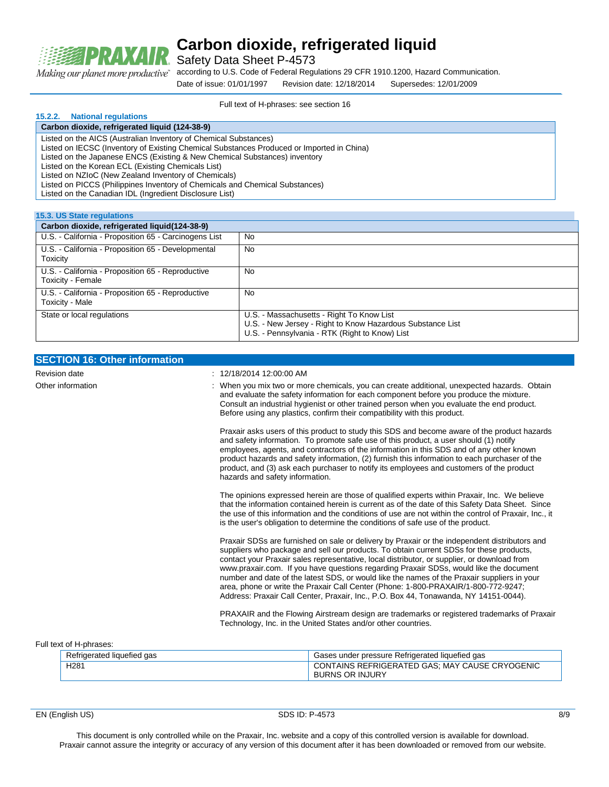

Safety Data Sheet P-4573

according to U.S. Code of Federal Regulations 29 CFR 1910.1200, Hazard Communication. Making our planet more productive"

Date of issue: 01/01/1997 Revision date: 12/18/2014 Supersedes: 12/01/2009

Full text of H-phrases: see section 16

### **15.2.2. National regulations**

**Carbon dioxide, refrigerated liquid (124-38-9)** Listed on the AICS (Australian Inventory of Chemical Substances)

Listed on IECSC (Inventory of Existing Chemical Substances Produced or Imported in China)

Listed on the Japanese ENCS (Existing & New Chemical Substances) inventory

Listed on the Korean ECL (Existing Chemicals List)

Listed on NZIoC (New Zealand Inventory of Chemicals)

Listed on PICCS (Philippines Inventory of Chemicals and Chemical Substances)

Listed on the Canadian IDL (Ingredient Disclosure List)

| <b>15.3. US State regulations</b>                                      |                                                                                                                                                           |  |
|------------------------------------------------------------------------|-----------------------------------------------------------------------------------------------------------------------------------------------------------|--|
| Carbon dioxide, refrigerated liquid(124-38-9)                          |                                                                                                                                                           |  |
| U.S. - California - Proposition 65 - Carcinogens List                  | <b>No</b>                                                                                                                                                 |  |
| U.S. - California - Proposition 65 - Developmental<br>Toxicity         | No                                                                                                                                                        |  |
| U.S. - California - Proposition 65 - Reproductive<br>Toxicity - Female | No                                                                                                                                                        |  |
| U.S. - California - Proposition 65 - Reproductive<br>Toxicity - Male   | No                                                                                                                                                        |  |
| State or local regulations                                             | U.S. - Massachusetts - Right To Know List<br>U.S. - New Jersey - Right to Know Hazardous Substance List<br>U.S. - Pennsylvania - RTK (Right to Know) List |  |

| <b>SECTION 16: Other information</b>      |                                                                                                                                                                                                                                                                                                                                                                                                                                                                                                                                                                                                                                                                |
|-------------------------------------------|----------------------------------------------------------------------------------------------------------------------------------------------------------------------------------------------------------------------------------------------------------------------------------------------------------------------------------------------------------------------------------------------------------------------------------------------------------------------------------------------------------------------------------------------------------------------------------------------------------------------------------------------------------------|
| <b>Revision date</b><br>Other information | $: 12/18/201412:00.00$ AM<br>When you mix two or more chemicals, you can create additional, unexpected hazards. Obtain<br>and evaluate the safety information for each component before you produce the mixture.<br>Consult an industrial hygienist or other trained person when you evaluate the end product.<br>Before using any plastics, confirm their compatibility with this product.                                                                                                                                                                                                                                                                    |
|                                           | Praxair asks users of this product to study this SDS and become aware of the product hazards<br>and safety information. To promote safe use of this product, a user should (1) notify<br>employees, agents, and contractors of the information in this SDS and of any other known<br>product hazards and safety information, (2) furnish this information to each purchaser of the<br>product, and (3) ask each purchaser to notify its employees and customers of the product<br>hazards and safety information.                                                                                                                                              |
|                                           | The opinions expressed herein are those of qualified experts within Praxair, Inc. We believe<br>that the information contained herein is current as of the date of this Safety Data Sheet. Since<br>the use of this information and the conditions of use are not within the control of Praxair, Inc., it<br>is the user's obligation to determine the conditions of safe use of the product.                                                                                                                                                                                                                                                                  |
|                                           | Praxair SDSs are furnished on sale or delivery by Praxair or the independent distributors and<br>suppliers who package and sell our products. To obtain current SDSs for these products,<br>contact your Praxair sales representative, local distributor, or supplier, or download from<br>www.praxair.com. If you have questions regarding Praxair SDSs, would like the document<br>number and date of the latest SDS, or would like the names of the Praxair suppliers in your<br>area, phone or write the Praxair Call Center (Phone: 1-800-PRAXAIR/1-800-772-9247;<br>Address: Praxair Call Center, Praxair, Inc., P.O. Box 44, Tonawanda, NY 14151-0044). |
|                                           | PRAXAIR and the Flowing Airstream design are trademarks or registered trademarks of Praxair<br>Technology, Inc. in the United States and/or other countries.                                                                                                                                                                                                                                                                                                                                                                                                                                                                                                   |

#### Full text of H-phrases:

| Refrigerated liquefied gas | l liquefied gas<br>Gases under pressure Refrigerated |
|----------------------------|------------------------------------------------------|
| H <sub>28</sub> 1          | CONTAINS REFRIGERATED GAS: MAY CAUSE CRYOGENIC       |
|                            | OR INJURY<br><b>BURNS</b>                            |